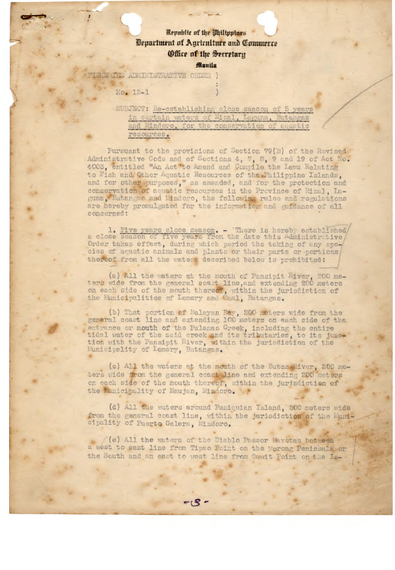## **Republic of the Uhiltopines** *Department of Agriculture and Commerce* Office of the Secretary

Manila

**EEDING ADMINISTRATIVE ORDER )** 

No. 12-1

SUBJECT: Re-establishing close season of 5 years in certain waters of Rizal, Laguna, Batangas and Mindoro, for the conservation of aquatic resources.

Pursuant to the provisions of Section 79(B) of the Revised Administrative Code and of Sections 4, 7, 8, 9 and 19 of Act No. 4003, entitled "An Act 'to Amend and Compile the Laws Relating to Fish and Other Aquatic Resources of the Philippine Islands. and for other purposes," as amended, and for the protection and conservation of aquatic resources in the Province of Rizal, Iaguna, Batanges and Mindoro, the following rules and regulations are hereby promulgated for the information and guidance of all concerned:

1. Five years close season. - There is hereby established a close season of five years from the date this Administrative Order takes effect, during which period the taking of any species of aquatic animals and plants or their parts or portions thereof from all the waters described below is prohibited:

(a) All the waters at the mouth of Pansipit River, 200 me-<br>ters wide from the general coast line, and extending 200 meters on each side of the mouth thereof, within the jurisdiction of the Municipalities of Lemery and Taal, Batangas.

(b) That portion of Balayan Bay, 200 meters wide from the general coast line and extending 100 meters on each side of the entrance or mouth of the Palanas Creek, including the entire<br>tidal water of the said creek and its tributaries, to its junction with the Pansipit River, within the jurisdiction of the<br>Municipality of Lemery, Batangas.

(c) All the waters at the mouth of the Butas River, 200 meters wide from the general coast line and extending 200 meters on each side of the mouth thereof, within the jurisdiction of the Municipality of Naujan, Mindoro.

(d) All the waters around Paniquian Island, 200 meters wide from the general coast line, within the jurisdiction of the Municipality of Puerto Galera, Mindoro.

(e) All the waters of the Diablo Passor Navetas between a west to east line from Tipao Point on the Morong Peninsula or the South and an east to west line from Gawit Point on the Is-

 $-18 -$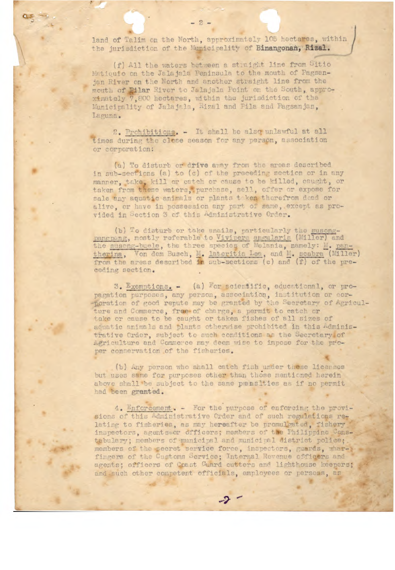land of Talim on the North, approximately 105 hectares, within the jurisdiction of the Municipality of Binangonan, Rizal.

(f) All the waters between a straight line from Sitio Matiquio on the Jalajala Peninsula to the mouth of Pagsanjan River on the North and another straight line from the mouth of Pilar River to Jalajala Point on the South, approximately 7,800 hectares, within the jurisdiction of the Municipality of Jalajala, Rizal and Pila and Pagsanjan, Laguna.

2. Prohibitions. - It shall be also unlawful at all times during the close season for any person, association or corporation:

(a) To disturb or drive away from the areas described in sub-sections (a) to (c) of the preceding section or in any manner, take, kill or catch or cause to be killed, caught, or taken from these waters, purchase, sell, offer or expose for sale any aquatic animals or plants taken therefrom dead or alive, or have in possession any part of same, except as provided in Section 3 of this Administrative Order.

(b) To disturb or take snails, particularly the susongpangpang, mostly referable to Vivipera angularis (Miller) and the suseng-buele, the three species of Melania, namely: M. pan-<br>thering, Von dem Busch, M. lateritia Lea, and M. scabra (Miller)<br>from the areas described in sub ceding section.

3. Exemptions. - (a) For scientific, educational, or propagation purposes, any person, association, institution or cor--poration of good repute may be granted by the Secretary of Agriculture and Commerce, free of charge, a permit to catch or take or cause to be caught or taken fishes of all sizes of aquatic animals and plants otherwise prohibited in this Administrative Order, subject to such conditions as the Secretary of Agriculture and Commerce may deem wise to impose for the proper conservation of the fisheries.

(b) Any person who shall catch fish under these licenses but uses same for purposes other than those mentioned herein above shall be subject to the same penalties as if no permit had been granted.

4. Enforcement. - For the purpose of enforcing the provisions of this Administrative Order and of such regulations relating to fisheries, as may hereafter be promulgated, fishery inspectors, agents or officers; members of the Philippine Constabulary; members of municipal and municipal district police; members of the secret service force, inspectors, guards, wharfingers of the Customs Service; Internal Revenue officers and agents; officers of Coast Guard cutters and lighthouse keepers; and such other competent officials, employees or persons, as